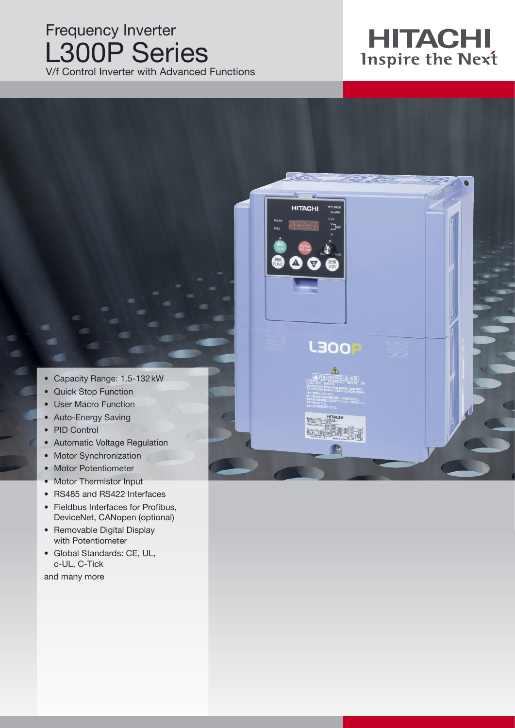### Frequency Inverter L300P Series V/f Control Inverter with Advanced Functions

# **HITACHI**<br>Inspire the Next

• Capacity Range: 1.5-132 kW

- Quick Stop Function
- User Macro Function
- Auto-Energy Saving
- PID Control
- Automatic Voltage Regulation
- Motor Synchronization
- Motor Potentiometer
- Motor Thermistor Input
- RS485 and RS422 Interfaces
- Fieldbus Interfaces for Profibus, DeviceNet, CANopen (optional)
- Removable Digital Display with Potentiometer
- Global Standards: CE, UL, c-UL, C-Tick

and many more